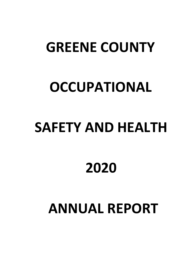## **GREENE COUNTY**

## **OCCUPATIONAL**

# **SAFETY AND HEALTH**

## **2020**

## **ANNUAL REPORT**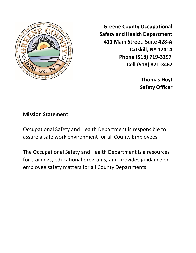

**Greene County Occupational Safety and Health Department 411 Main Street, Suite 428-A Catskill, NY 12414 Phone (518) 719-3297 Cell (518) 821-3462**

> **Thomas Hoyt Safety Officer**

#### **Mission Statement**

Occupational Safety and Health Department is responsible to assure a safe work environment for all County Employees.

The Occupational Safety and Health Department is a resources for trainings, educational programs, and provides guidance on employee safety matters for all County Departments.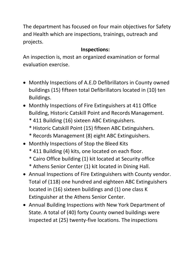The department has focused on four main objectives for Safety and Health which are inspections, trainings, outreach and projects.

### **Inspections:**

An inspection is, most an organized examination or formal evaluation exercise.

- Monthly Inspections of A.E.D Defibrillators in County owned buildings (15) fifteen total Defibrillators located in (10) ten Buildings.
- Monthly Inspections of Fire Extinguishers at 411 Office Building, Historic Catskill Point and Records Management.
	- \* 411 Building (16) sixteen ABC Extinguishers.
	- \* Historic Catskill Point (15) fifteen ABC Extinguishers.
	- \* Records Management (8) eight ABC Extinguishers.
- Monthly Inspections of Stop the Bleed Kits
	- \* 411 Building (4) kits, one located on each floor.
	- \* Cairo Office building (1) kit located at Security office
	- \* Athens Senior Center (1) kit located in Dining Hall.
- Annual Inspections of Fire Extinguishers with County vendor. Total of (118) one hundred and eighteen ABC Extinguishers located in (16) sixteen buildings and (1) one class K Extinguisher at the Athens Senior Center.
- Annual Building Inspections with New York Department of State. A total of (40) forty County owned buildings were inspected at (25) twenty-five locations. The inspections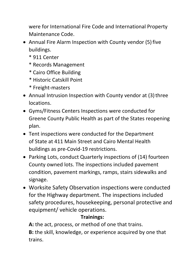were for International Fire Code and International Property Maintenance Code.

- Annual Fire Alarm Inspection with County vendor (5) five buildings.
	- \* 911 Center
	- \* Records Management
	- \* Cairo Office Building
	- \* Historic Catskill Point
	- \* Freight-masters
- Annual Intrusion Inspection with County vendor at (3) three locations.
- Gyms/Fitness Centers Inspections were conducted for Greene County Public Health as part of the States reopening plan.
- Tent inspections were conducted for the Department of State at 411 Main Street and Cairo Mental Health buildings as pre-Covid-19 restrictions.
- Parking Lots, conduct Quarterly inspections of (14) fourteen County owned lots. The inspections included pavement condition, pavement markings, ramps, stairs sidewalks and signage.
- Worksite Safety Observation inspections were conducted for the Highway department. The inspections included safety procedures, housekeeping, personal protective and equipment/ vehicle operations.

### **Trainings:**

**A:** the act, process, or method of one that trains.

**B:** the skill, knowledge, or experience acquired by one that trains.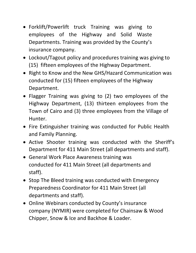- Forklift/Powerlift truck Training was giving to employees of the Highway and Solid Waste Departments. Training was provided by the County's insurance company.
- Lockout/Tagout policy and procedures training was giving to (15) fifteen employees of the Highway Department.
- Right to Know and the New GHS/Hazard Communication was conducted for (15) fifteen employees of the Highway Department.
- Flagger Training was giving to (2) two employees of the Highway Department, (13) thirteen employees from the Town of Cairo and (3) three employees from the Village of Hunter.
- Fire Extinguisher training was conducted for Public Health and Family Planning.
- Active Shooter training was conducted with the Sheriff's Department for 411 Main Street (all departments and staff).
- General Work Place Awareness training was conducted for 411 Main Street (all departments and staff).
- Stop The Bleed training was conducted with Emergency Preparedness Coordinator for 411 Main Street (all departments and staff).
- Online Webinars conducted by County's insurance company (NYMIR) were completed for Chainsaw & Wood Chipper, Snow & Ice and Backhoe & Loader.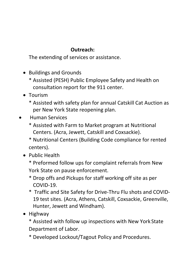### **Outreach:**

The extending of services or assistance.

- Buildings and Grounds
	- \* Assisted (PESH) Public Employee Safety and Health on consultation report for the 911 center.
- Tourism
	- \* Assisted with safety plan for annual Catskill Cat Auction as per New York State reopening plan.
- Human Services
	- \* Assisted with Farm to Market program at Nutritional Centers. (Acra, Jewett, Catskill and Coxsackie).
	- \* Nutritional Centers (Building Code compliance for rented centers).
	- Public Health
		- \* Preformed follow ups for complaint referrals from New York State on pause enforcement.
		- \* Drop offs and Pickups for staff working off site as per COVID-19.
		- \* Traffic and Site Safety for Drive-Thru Flu shots and COVID-19 test sites. (Acra, Athens, Catskill, Coxsackie, Greenville, Hunter, Jewett and Windham).
	- Highway
		- \* Assisted with follow up inspections with New York State Department of Labor.
		- \* Developed Lockout/Tagout Policy and Procedures.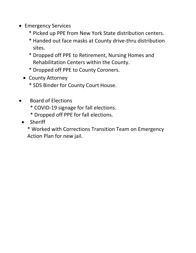- Emergency Services
	- \* Picked up PPE from New York State distribution centers.
	- \* Handed out face masks at County drive-thru distribution sites.
	- \* Dropped off PPE to Retirement, Nursing Homes and Rehabilitation Centers within the County.
	- \* Dropped off PPE to County Coroners.
	- County Attorney
		- \* SDS Binder for County Court House.
- Board of Elections
	- \* COVID-19 signage for fall elections.
	- \* Dropped off PPE for fall elections.
- **Sheriff** 
	- \* Worked with Corrections Transition Team on Emergency Action Plan for new jail.